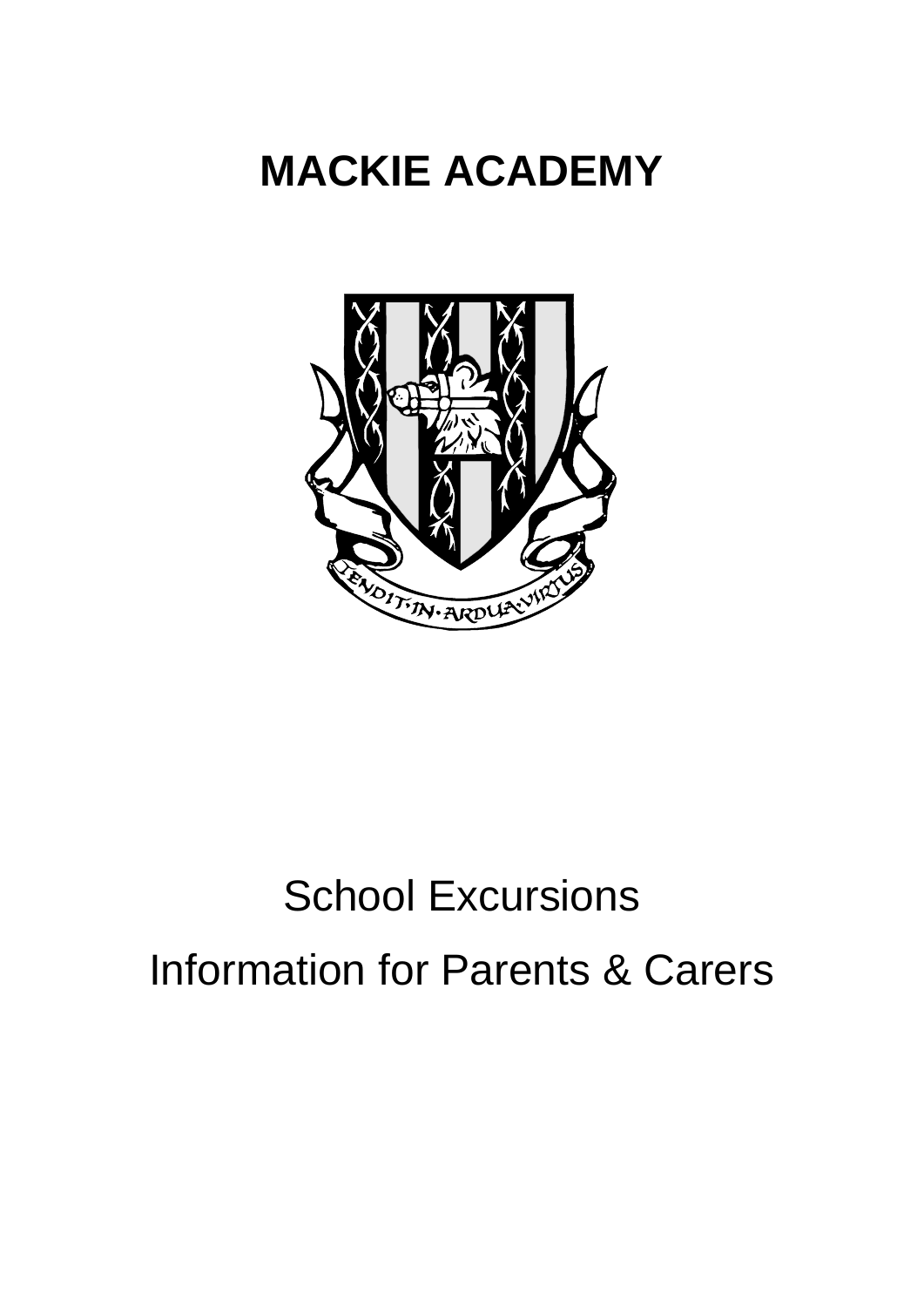# **MACKIE ACADEMY**



# School Excursions Information for Parents & Carers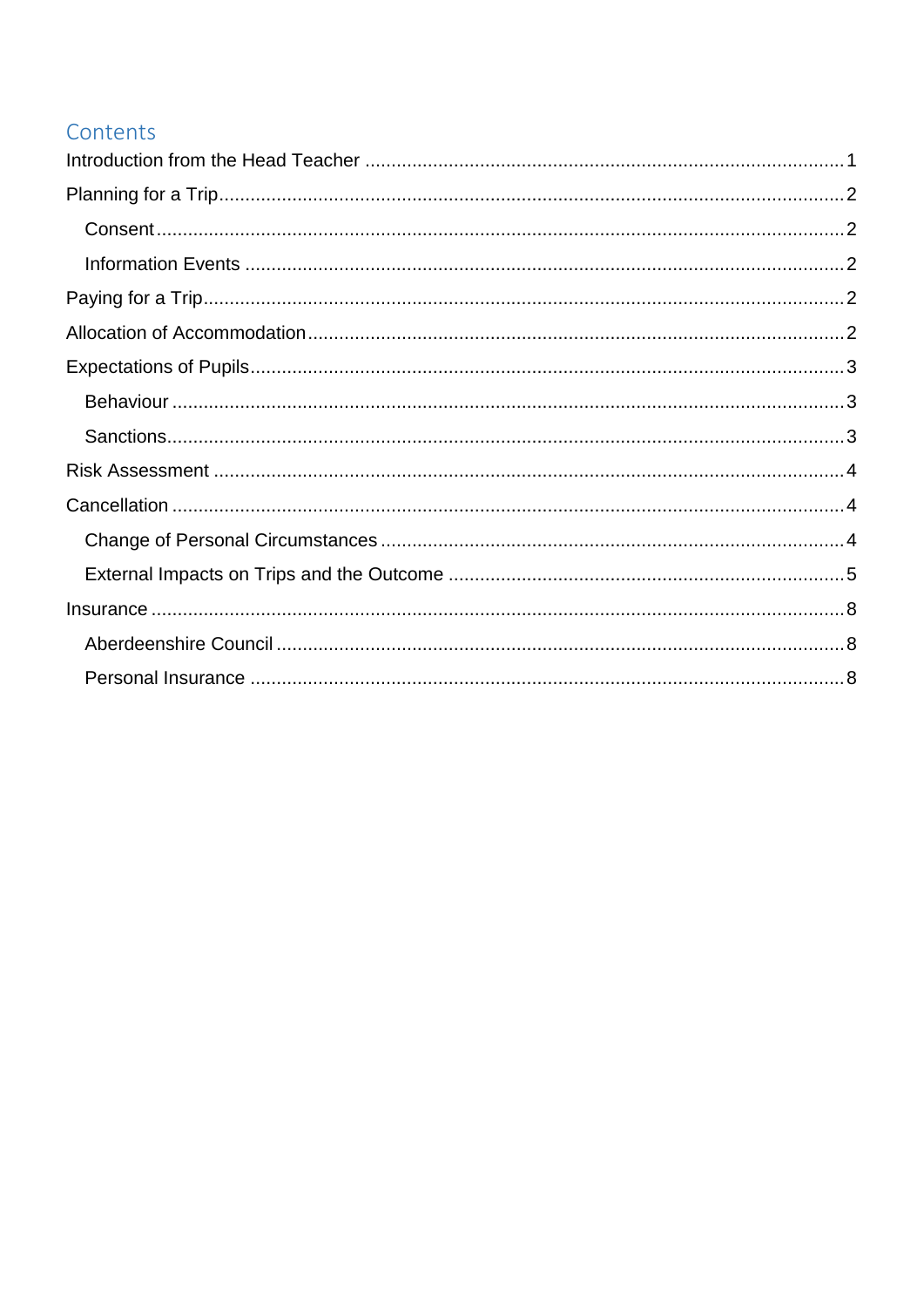# Contents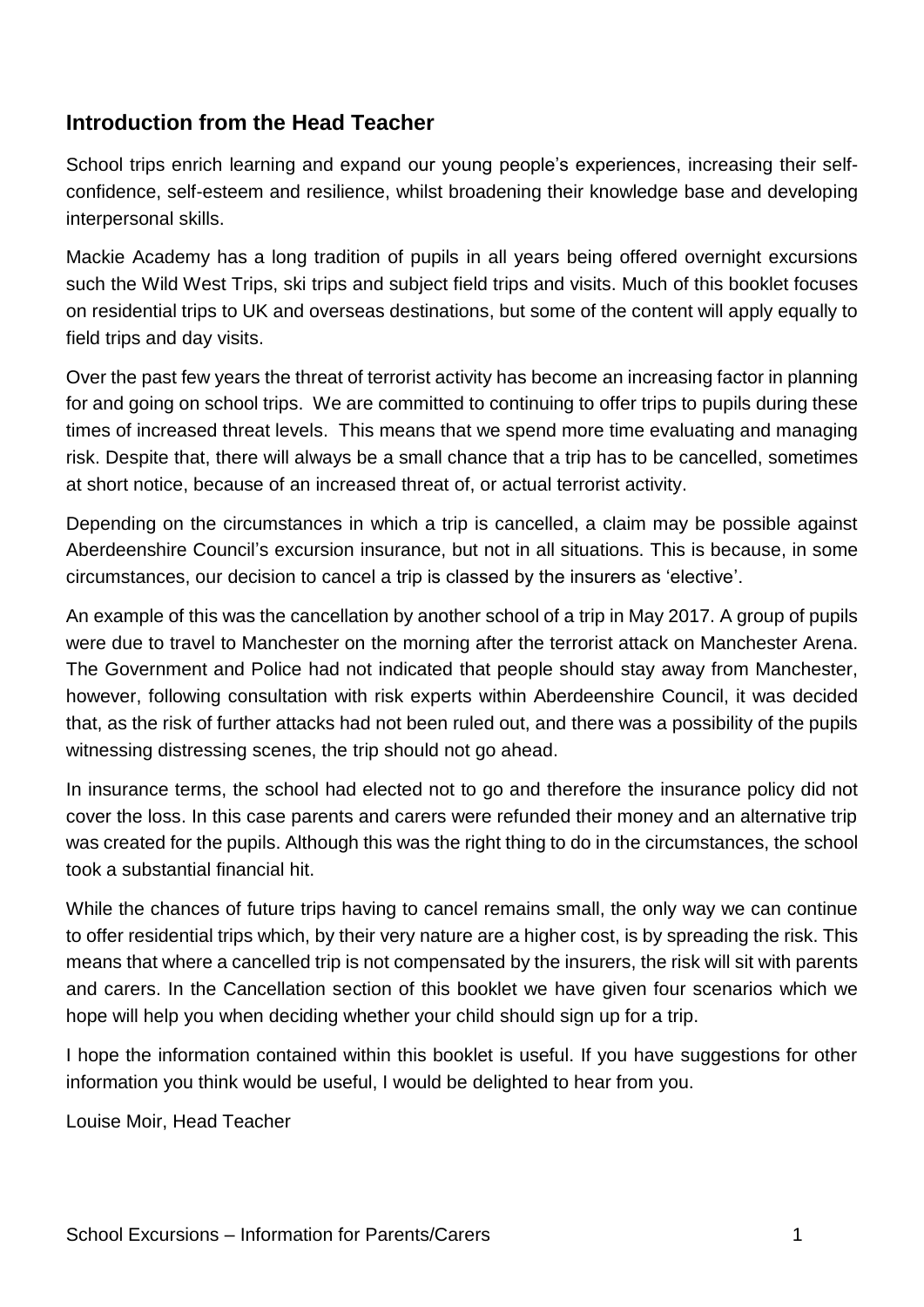# <span id="page-2-0"></span>**Introduction from the Head Teacher**

School trips enrich learning and expand our young people's experiences, increasing their selfconfidence, self-esteem and resilience, whilst broadening their knowledge base and developing interpersonal skills.

Mackie Academy has a long tradition of pupils in all years being offered overnight excursions such the Wild West Trips, ski trips and subject field trips and visits. Much of this booklet focuses on residential trips to UK and overseas destinations, but some of the content will apply equally to field trips and day visits.

Over the past few years the threat of terrorist activity has become an increasing factor in planning for and going on school trips. We are committed to continuing to offer trips to pupils during these times of increased threat levels. This means that we spend more time evaluating and managing risk. Despite that, there will always be a small chance that a trip has to be cancelled, sometimes at short notice, because of an increased threat of, or actual terrorist activity.

Depending on the circumstances in which a trip is cancelled, a claim may be possible against Aberdeenshire Council's excursion insurance, but not in all situations. This is because, in some circumstances, our decision to cancel a trip is classed by the insurers as 'elective'.

An example of this was the cancellation by another school of a trip in May 2017. A group of pupils were due to travel to Manchester on the morning after the terrorist attack on Manchester Arena. The Government and Police had not indicated that people should stay away from Manchester, however, following consultation with risk experts within Aberdeenshire Council, it was decided that, as the risk of further attacks had not been ruled out, and there was a possibility of the pupils witnessing distressing scenes, the trip should not go ahead.

In insurance terms, the school had elected not to go and therefore the insurance policy did not cover the loss. In this case parents and carers were refunded their money and an alternative trip was created for the pupils. Although this was the right thing to do in the circumstances, the school took a substantial financial hit.

While the chances of future trips having to cancel remains small, the only way we can continue to offer residential trips which, by their very nature are a higher cost, is by spreading the risk. This means that where a cancelled trip is not compensated by the insurers, the risk will sit with parents and carers. In the Cancellation section of this booklet we have given four scenarios which we hope will help you when deciding whether your child should sign up for a trip.

I hope the information contained within this booklet is useful. If you have suggestions for other information you think would be useful, I would be delighted to hear from you.

Louise Moir, Head Teacher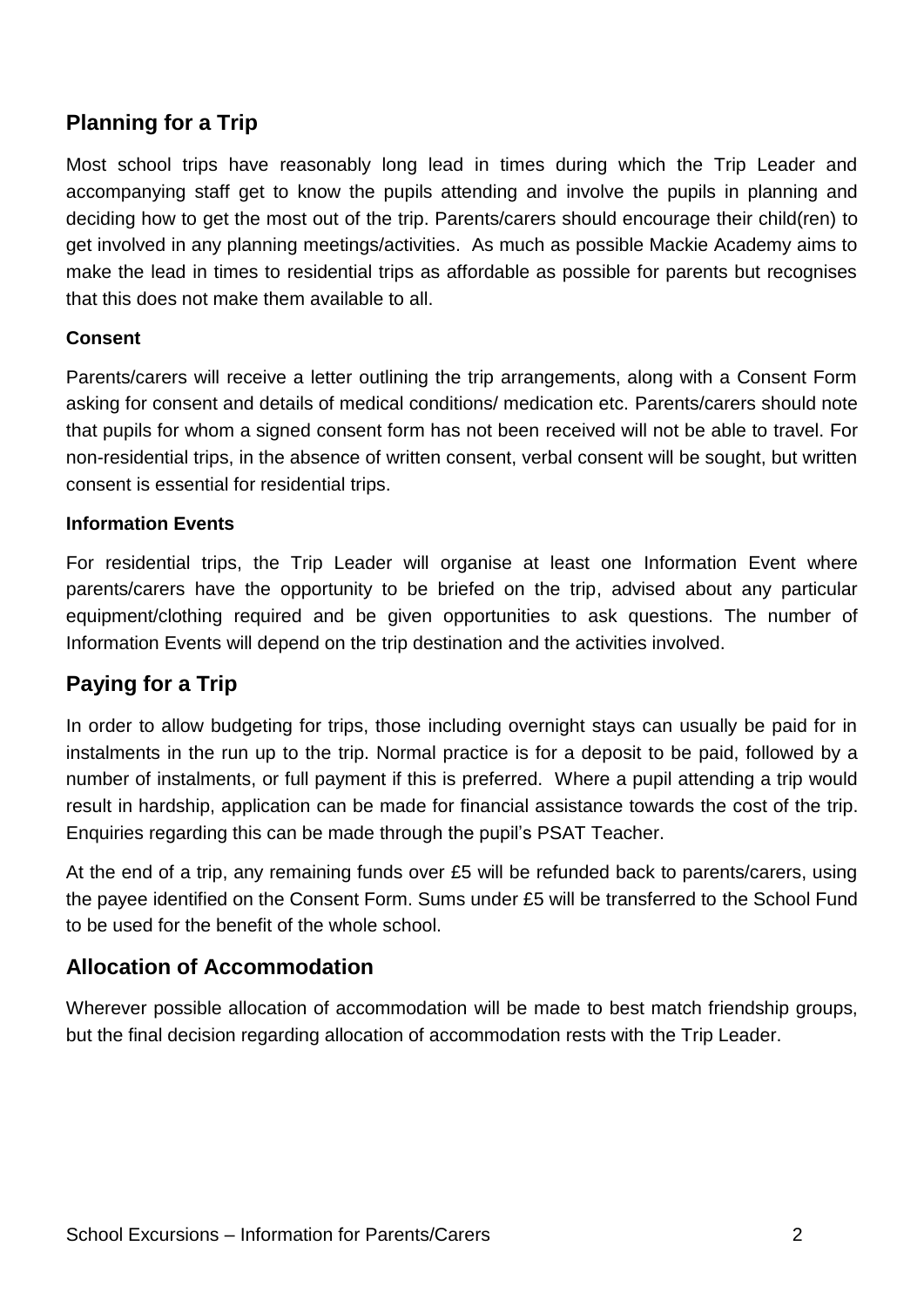# <span id="page-3-0"></span>**Planning for a Trip**

Most school trips have reasonably long lead in times during which the Trip Leader and accompanying staff get to know the pupils attending and involve the pupils in planning and deciding how to get the most out of the trip. Parents/carers should encourage their child(ren) to get involved in any planning meetings/activities. As much as possible Mackie Academy aims to make the lead in times to residential trips as affordable as possible for parents but recognises that this does not make them available to all.

#### <span id="page-3-1"></span>**Consent**

Parents/carers will receive a letter outlining the trip arrangements, along with a Consent Form asking for consent and details of medical conditions/ medication etc. Parents/carers should note that pupils for whom a signed consent form has not been received will not be able to travel. For non-residential trips, in the absence of written consent, verbal consent will be sought, but written consent is essential for residential trips.

#### <span id="page-3-2"></span>**Information Events**

For residential trips, the Trip Leader will organise at least one Information Event where parents/carers have the opportunity to be briefed on the trip, advised about any particular equipment/clothing required and be given opportunities to ask questions. The number of Information Events will depend on the trip destination and the activities involved.

# <span id="page-3-3"></span>**Paying for a Trip**

In order to allow budgeting for trips, those including overnight stays can usually be paid for in instalments in the run up to the trip. Normal practice is for a deposit to be paid, followed by a number of instalments, or full payment if this is preferred. Where a pupil attending a trip would result in hardship, application can be made for financial assistance towards the cost of the trip. Enquiries regarding this can be made through the pupil's PSAT Teacher.

At the end of a trip, any remaining funds over £5 will be refunded back to parents/carers, using the payee identified on the Consent Form. Sums under £5 will be transferred to the School Fund to be used for the benefit of the whole school.

# <span id="page-3-4"></span>**Allocation of Accommodation**

Wherever possible allocation of accommodation will be made to best match friendship groups, but the final decision regarding allocation of accommodation rests with the Trip Leader.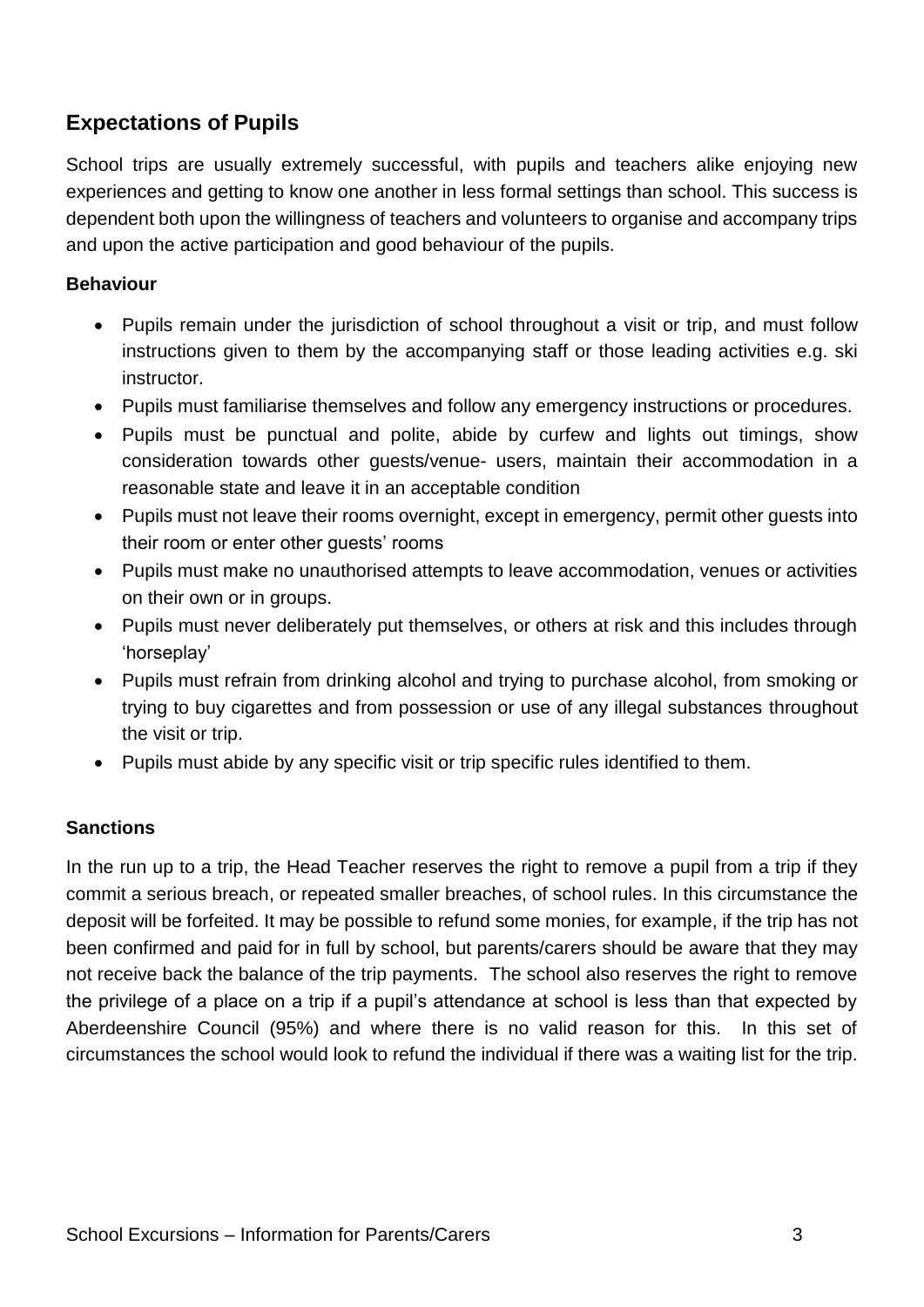# <span id="page-4-0"></span>**Expectations of Pupils**

School trips are usually extremely successful, with pupils and teachers alike enjoying new experiences and getting to know one another in less formal settings than school. This success is dependent both upon the willingness of teachers and volunteers to organise and accompany trips and upon the active participation and good behaviour of the pupils.

#### <span id="page-4-1"></span>**Behaviour**

- Pupils remain under the jurisdiction of school throughout a visit or trip, and must follow instructions given to them by the accompanying staff or those leading activities e.g. ski instructor.
- Pupils must familiarise themselves and follow any emergency instructions or procedures.
- Pupils must be punctual and polite, abide by curfew and lights out timings, show consideration towards other guests/venue- users, maintain their accommodation in a reasonable state and leave it in an acceptable condition
- Pupils must not leave their rooms overnight, except in emergency, permit other guests into their room or enter other guests' rooms
- Pupils must make no unauthorised attempts to leave accommodation, venues or activities on their own or in groups.
- Pupils must never deliberately put themselves, or others at risk and this includes through 'horseplay'
- Pupils must refrain from drinking alcohol and trying to purchase alcohol, from smoking or trying to buy cigarettes and from possession or use of any illegal substances throughout the visit or trip.
- Pupils must abide by any specific visit or trip specific rules identified to them.

#### <span id="page-4-2"></span>**Sanctions**

In the run up to a trip, the Head Teacher reserves the right to remove a pupil from a trip if they commit a serious breach, or repeated smaller breaches, of school rules. In this circumstance the deposit will be forfeited. It may be possible to refund some monies, for example, if the trip has not been confirmed and paid for in full by school, but parents/carers should be aware that they may not receive back the balance of the trip payments. The school also reserves the right to remove the privilege of a place on a trip if a pupil's attendance at school is less than that expected by Aberdeenshire Council (95%) and where there is no valid reason for this. In this set of circumstances the school would look to refund the individual if there was a waiting list for the trip.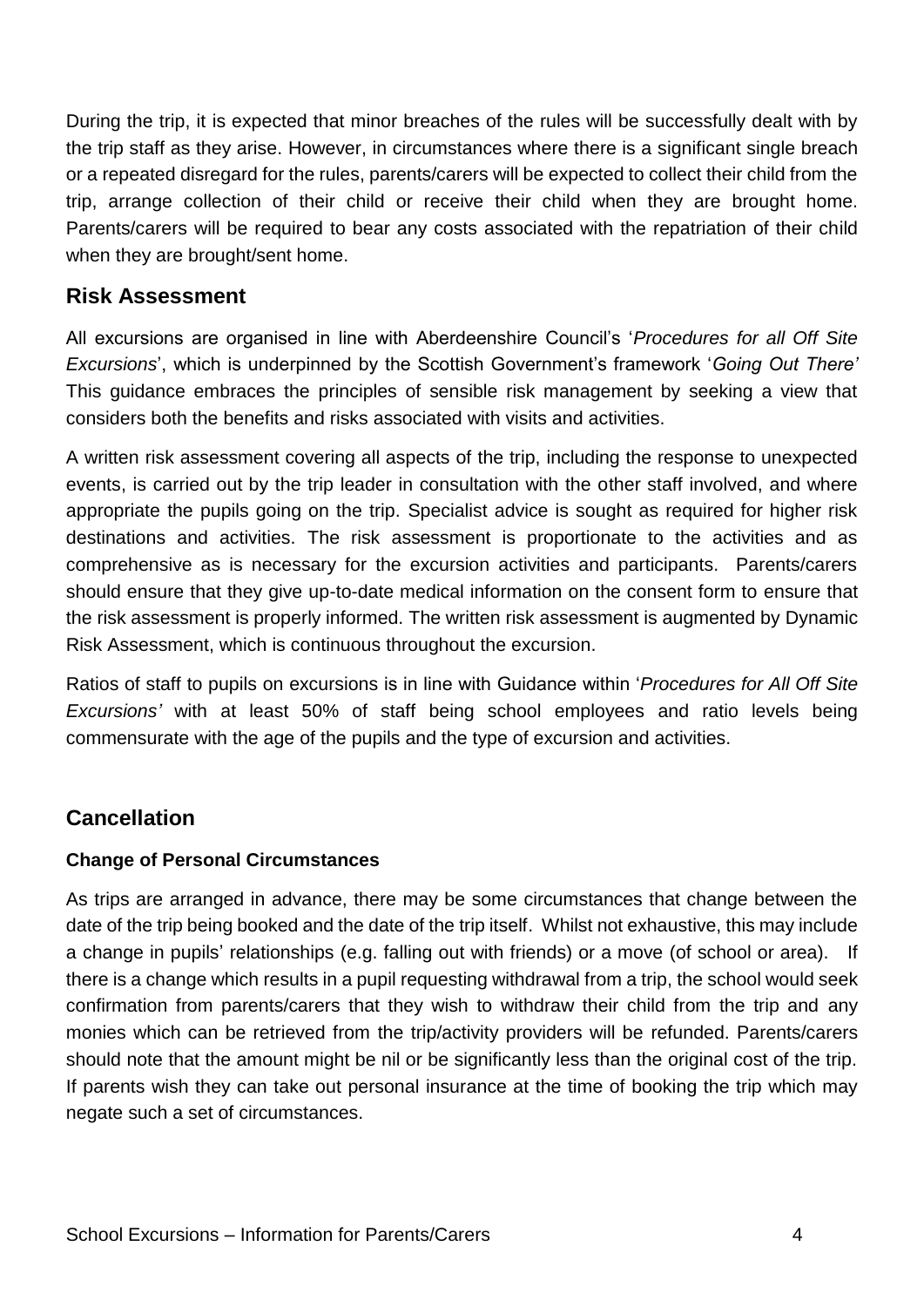During the trip, it is expected that minor breaches of the rules will be successfully dealt with by the trip staff as they arise. However, in circumstances where there is a significant single breach or a repeated disregard for the rules, parents/carers will be expected to collect their child from the trip, arrange collection of their child or receive their child when they are brought home. Parents/carers will be required to bear any costs associated with the repatriation of their child when they are brought/sent home.

# <span id="page-5-0"></span>**Risk Assessment**

All excursions are organised in line with Aberdeenshire Council's '*Procedures for all Off Site Excursions*', which is underpinned by the Scottish Government's framework '*Going Out There'* This guidance embraces the principles of sensible risk management by seeking a view that considers both the benefits and risks associated with visits and activities.

A written risk assessment covering all aspects of the trip, including the response to unexpected events, is carried out by the trip leader in consultation with the other staff involved, and where appropriate the pupils going on the trip. Specialist advice is sought as required for higher risk destinations and activities. The risk assessment is proportionate to the activities and as comprehensive as is necessary for the excursion activities and participants. Parents/carers should ensure that they give up-to-date medical information on the consent form to ensure that the risk assessment is properly informed. The written risk assessment is augmented by Dynamic Risk Assessment, which is continuous throughout the excursion.

Ratios of staff to pupils on excursions is in line with Guidance within '*Procedures for All Off Site Excursions'* with at least 50% of staff being school employees and ratio levels being commensurate with the age of the pupils and the type of excursion and activities.

# <span id="page-5-1"></span>**Cancellation**

# <span id="page-5-2"></span>**Change of Personal Circumstances**

<span id="page-5-3"></span>As trips are arranged in advance, there may be some circumstances that change between the date of the trip being booked and the date of the trip itself. Whilst not exhaustive, this may include a change in pupils' relationships (e.g. falling out with friends) or a move (of school or area). If there is a change which results in a pupil requesting withdrawal from a trip, the school would seek confirmation from parents/carers that they wish to withdraw their child from the trip and any monies which can be retrieved from the trip/activity providers will be refunded. Parents/carers should note that the amount might be nil or be significantly less than the original cost of the trip. If parents wish they can take out personal insurance at the time of booking the trip which may negate such a set of circumstances.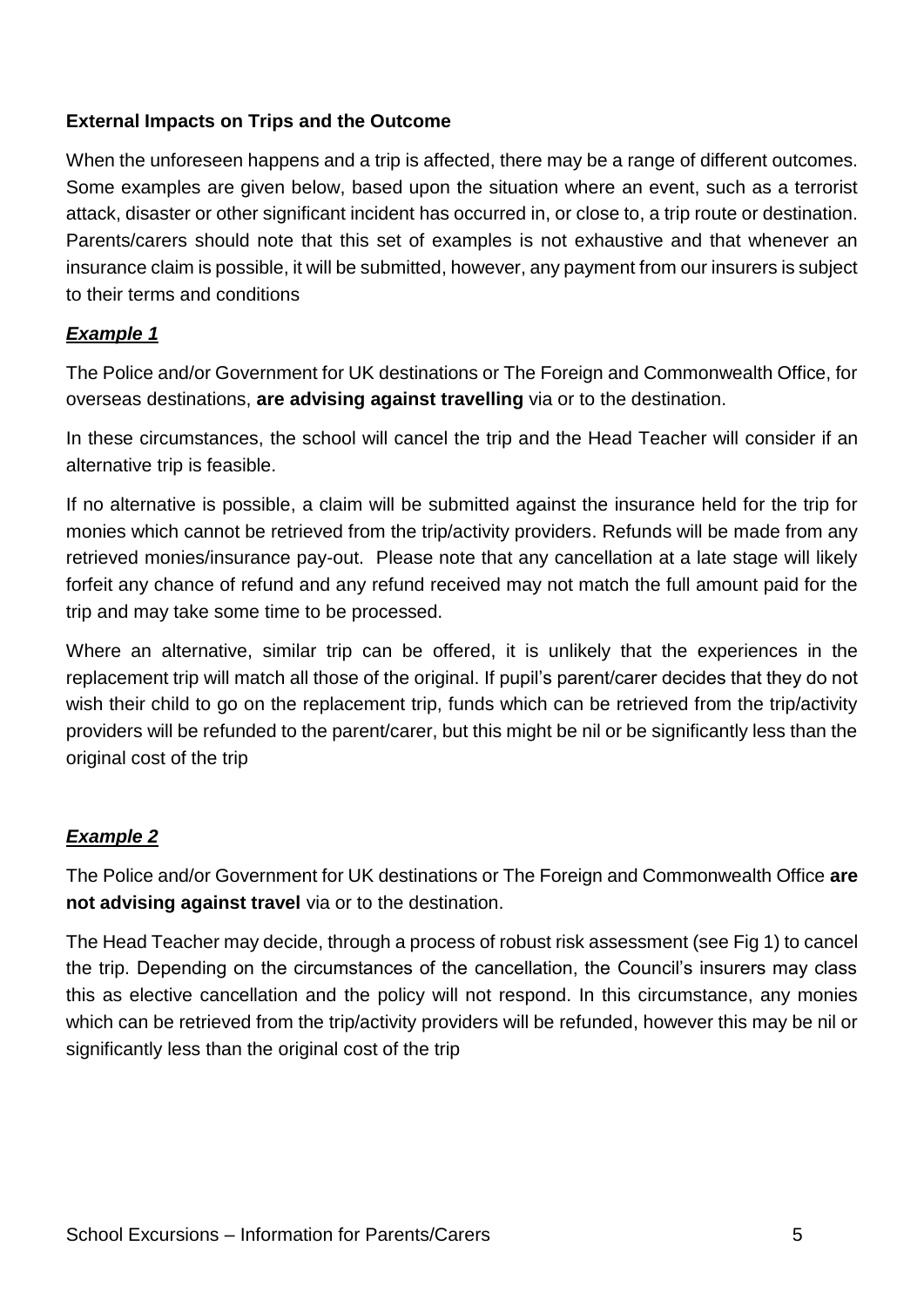#### **External Impacts on Trips and the Outcome**

When the unforeseen happens and a trip is affected, there may be a range of different outcomes. Some examples are given below, based upon the situation where an event, such as a terrorist attack, disaster or other significant incident has occurred in, or close to, a trip route or destination. Parents/carers should note that this set of examples is not exhaustive and that whenever an insurance claim is possible, it will be submitted, however, any payment from our insurers is subject to their terms and conditions

# *Example 1*

The Police and/or Government for UK destinations or The Foreign and Commonwealth Office, for overseas destinations, **are advising against travelling** via or to the destination.

In these circumstances, the school will cancel the trip and the Head Teacher will consider if an alternative trip is feasible.

If no alternative is possible, a claim will be submitted against the insurance held for the trip for monies which cannot be retrieved from the trip/activity providers. Refunds will be made from any retrieved monies/insurance pay-out. Please note that any cancellation at a late stage will likely forfeit any chance of refund and any refund received may not match the full amount paid for the trip and may take some time to be processed.

Where an alternative, similar trip can be offered, it is unlikely that the experiences in the replacement trip will match all those of the original. If pupil's parent/carer decides that they do not wish their child to go on the replacement trip, funds which can be retrieved from the trip/activity providers will be refunded to the parent/carer, but this might be nil or be significantly less than the original cost of the trip

# *Example 2*

The Police and/or Government for UK destinations or The Foreign and Commonwealth Office **are not advising against travel** via or to the destination.

The Head Teacher may decide, through a process of robust risk assessment (see Fig 1) to cancel the trip. Depending on the circumstances of the cancellation, the Council's insurers may class this as elective cancellation and the policy will not respond. In this circumstance, any monies which can be retrieved from the trip/activity providers will be refunded, however this may be nil or significantly less than the original cost of the trip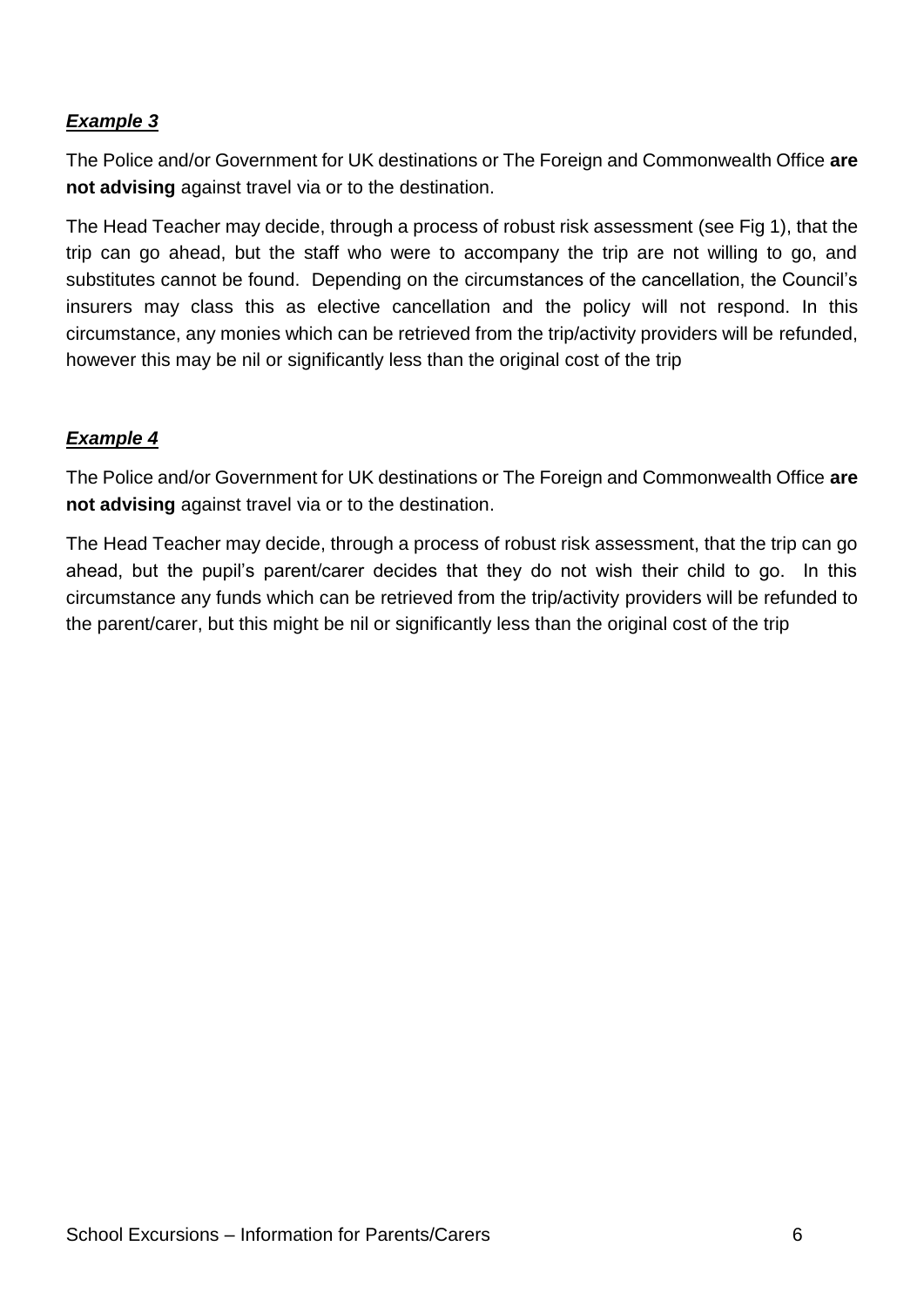#### *Example 3*

The Police and/or Government for UK destinations or The Foreign and Commonwealth Office **are not advising** against travel via or to the destination.

The Head Teacher may decide, through a process of robust risk assessment (see Fig 1), that the trip can go ahead, but the staff who were to accompany the trip are not willing to go, and substitutes cannot be found. Depending on the circumstances of the cancellation, the Council's insurers may class this as elective cancellation and the policy will not respond. In this circumstance, any monies which can be retrieved from the trip/activity providers will be refunded, however this may be nil or significantly less than the original cost of the trip

#### *Example 4*

The Police and/or Government for UK destinations or The Foreign and Commonwealth Office **are not advising** against travel via or to the destination.

The Head Teacher may decide, through a process of robust risk assessment, that the trip can go ahead, but the pupil's parent/carer decides that they do not wish their child to go. In this circumstance any funds which can be retrieved from the trip/activity providers will be refunded to the parent/carer, but this might be nil or significantly less than the original cost of the trip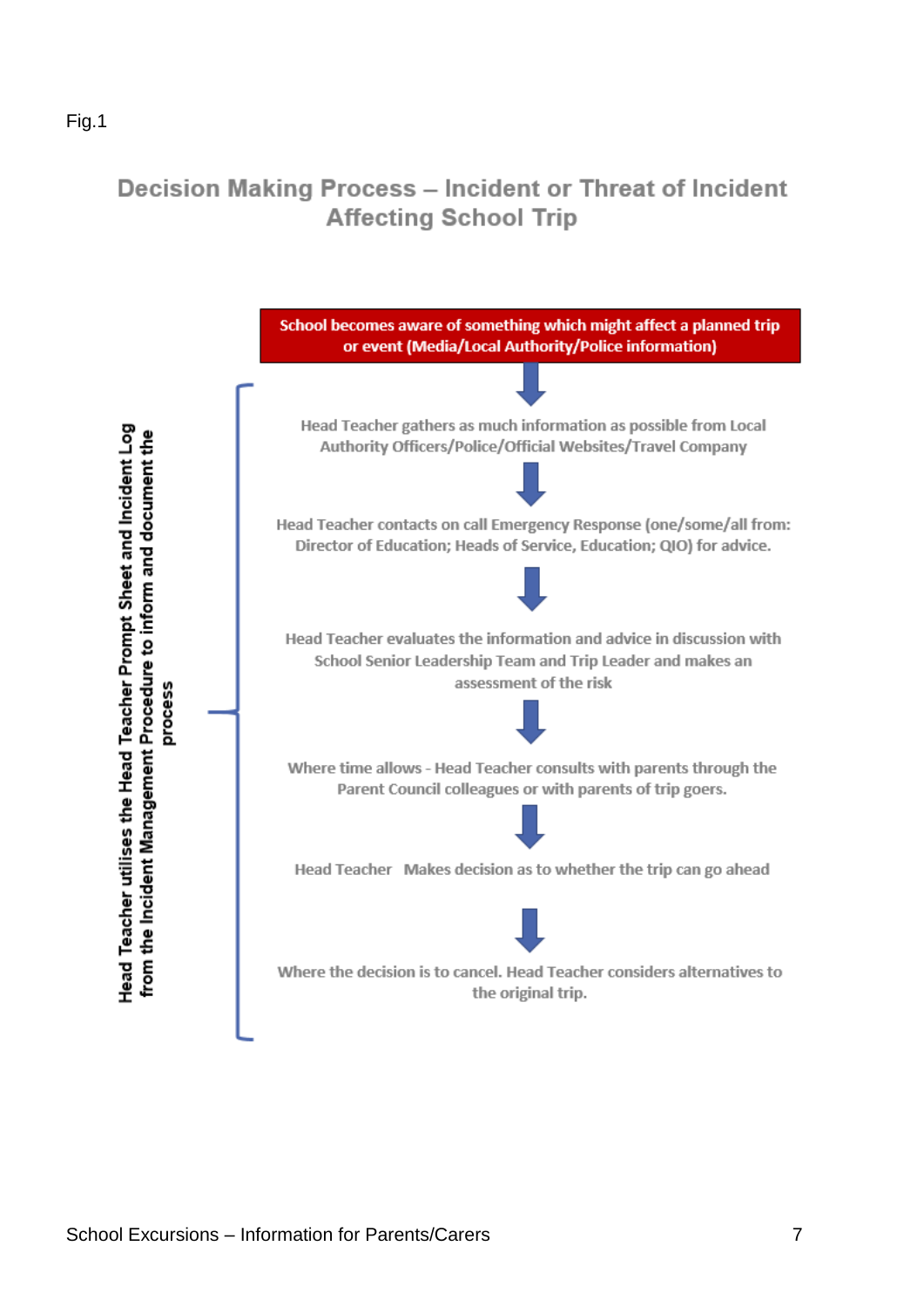# Decision Making Process - Incident or Threat of Incident **Affecting School Trip**